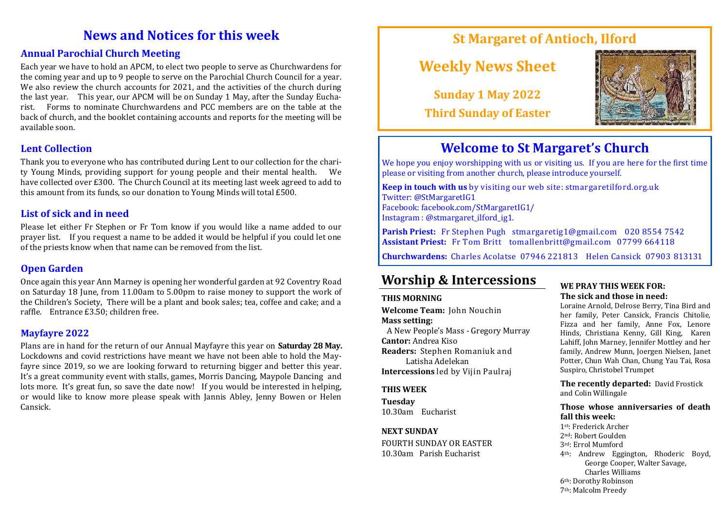## **News and Notices for this week**

#### **Annual Parochial Church Meeting**

Each year we have to hold an APCM, to elect two people to serve as Churchwardens for the coming year and up to 9 people to serve on the Parochial Church Council for a year. We also review the church accounts for 2021, and the activities of the church during the last year. This year, our APCM will be on Sunday 1 May, after the Sunday Eucharist. Forms to nominate Churchwardens and PCC members are on the table at the back of church, and the booklet containing accounts and reports for the meeting will be available soon.

#### **Lent Collection**

Thank you to everyone who has contributed during Lent to our collection for the charity Young Minds, providing support for young people and their mental health. We have collected over £300. The Church Council at its meeting last week agreed to add to this amount from its funds, so our donation to Young Minds will total £500.

#### **List of sick and in need**

Please let either Fr Stephen or Fr Tom know if you would like a name added to our prayer list. If you request a name to be added it would be helpful if you could let one of the priests know when that name can be removed from the list.

#### **Open Garden**

Once again this year Ann Marney is opening her wonderful garden at 92 Coventry Road on Saturday 18 June, from 11.00am to 5.00pm to raise money to support the work of the Children's Society, There will be a plant and book sales; tea, coffee and cake; and a raffle. Entrance £3.50; children free.

#### **Mayfayre 2022**

Plans are in hand for the return of our Annual Mayfayre this year on **Saturday 28 May.**  Lockdowns and covid restrictions have meant we have not been able to hold the Mayfayre since 2019, so we are looking forward to returning bigger and better this year. It's a great community event with stalls, games, Morris Dancing, Maypole Dancing and lots more. It's great fun, so save the date now! If you would be interested in helping, or would like to know more please speak with Jannis Abley, Jenny Bowen or Helen Cansick.

## **St Margaret of Antioch, Ilford**

# **Weekly News Sheet**

**Sunday 1 May 2022 Third Sunday of Easter**



## **Welcome to St Margaret's Church**

We hope you enjoy worshipping with us or visiting us. If you are here for the first time please or visiting from another church, please introduce yourself.

**Keep in touch with us** by visiting our web site: stmargaretilford.org.uk Twitter: @StMargaretIG1 Facebook: facebook.com/StMargaretIG1/ Instagram : @stmargaret\_ilford\_ig1.

**Parish Priest:** Fr Stephen Pugh stmargaretig1@gmail.com 020 8554 7542 **Assistant Priest:** Fr Tom Britt tomallenbritt@gmail.com 07799 664118

**Churchwardens:** Charles Acolatse 07946 221813 Helen Cansick 07903 813131

## **Worship & Intercessions**

#### **THIS MORNING**

**Welcome Team:** John Nouchin **Mass setting:**  A New People's Mass - Gregory Murray **Cantor:** Andrea Kiso **Readers:** Stephen Romaniuk and

Latisha Adelekan **Intercessions** led by Vijin Paulraj

#### **THIS WEEK**

**Tuesday**  10.30am Eucharist

#### **NEXT SUNDAY**

FOURTH SUNDAY OR EASTER 10.30am Parish Eucharist

#### **WE PRAY THIS WEEK FOR: The sick and those in need:**

Loraine Arnold, Delrose Berry, Tina Bird and her family, Peter Cansick, Francis Chitolie, Fizza and her family, Anne Fox, Lenore Hinds, Christiana Kenny, Gill King, Karen Lahiff, John Marney, Jennifer Mottley and her family, Andrew Munn, Joergen Nielsen, Janet Potter, Chun Wah Chan, Chung Yau Tai, Rosa Suspiro, Christobel Trumpet

**The recently departed:** David Frostick and Colin Willingale

#### **Those whose anniversaries of death fall this week:**

st: Frederick Archer nd: Robert Goulden rd: Errol Mumford th: Andrew Eggington, Rhoderic Boyd, George Cooper, Walter Savage, Charles Williams th: Dorothy Robinson th: Malcolm Preedy